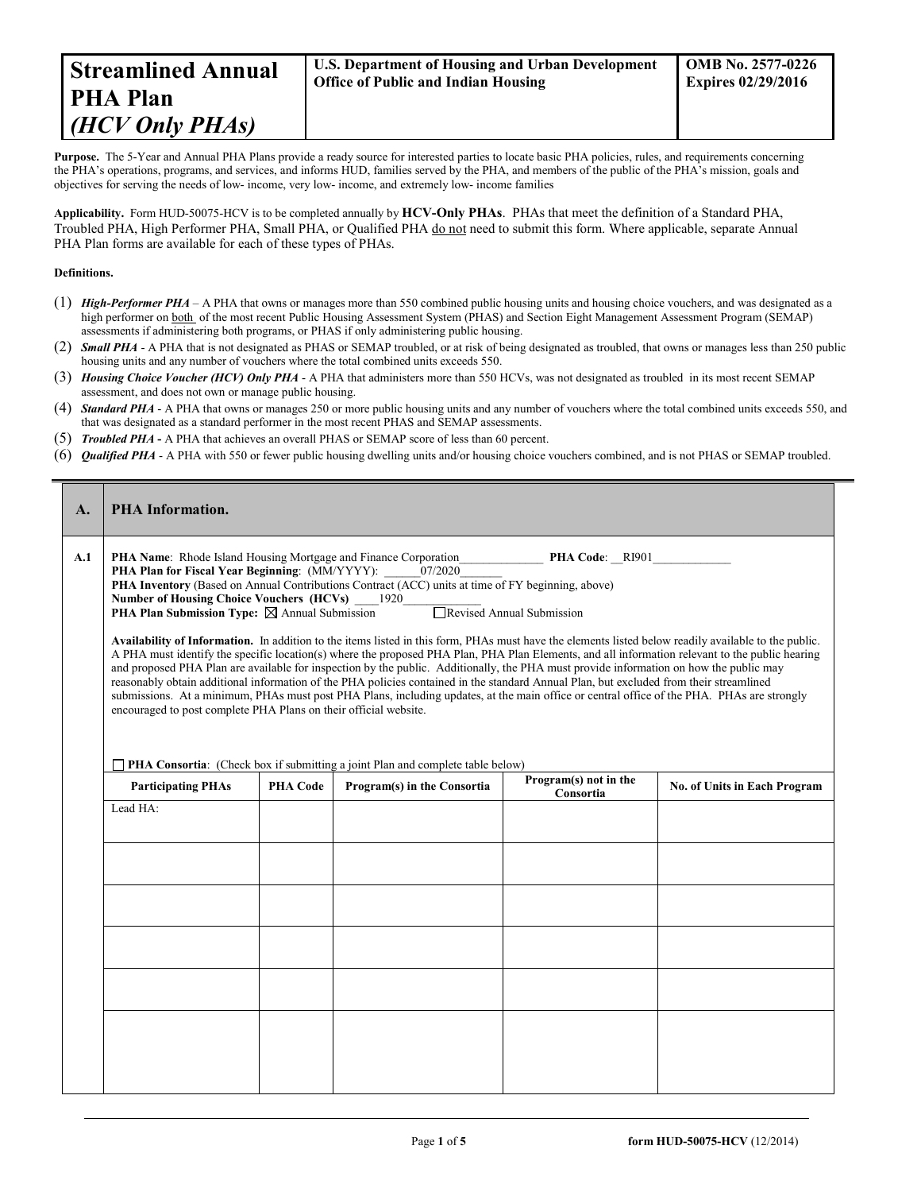Purpose. The 5-Year and Annual PHA Plans provide a ready source for interested parties to locate basic PHA policies, rules, and requirements concerning the PHA's operations, programs, and services, and informs HUD, families served by the PHA, and members of the public of the PHA's mission, goals and objectives for serving the needs of low- income, very low- income, and extremely low- income families

**Applicability.** Form HUD-50075-HCV is to be completed annually by **HCV-Only PHAs**. PHAs that meet the definition of a Standard PHA, Troubled PHA, High Performer PHA, Small PHA, or Qualified PHA do not need to submit this form. Where applicable, separate Annual PHA Plan forms are available for each of these types of PHAs.

#### **Definitions.**

- (1) *High-Performer PHA* A PHA that owns or manages more than 550 combined public housing units and housing choice vouchers, and was designated as a high performer on both of the most recent Public Housing Assessment System (PHAS) and Section Eight Management Assessment Program (SEMAP) assessments if administering both programs, or PHAS if only administering public housing.
- (2) *Small PHA* A PHA that is not designated as PHAS or SEMAP troubled, or at risk of being designated as troubled, that owns or manages less than 250 public housing units and any number of vouchers where the total combined units exceeds 550.
- (3) *Housing Choice Voucher (HCV) Only PHA* A PHA that administers more than 550 HCVs, was not designated as troubled in its most recent SEMAP assessment, and does not own or manage public housing.
- (4) *Standard PHA* A PHA that owns or manages 250 or more public housing units and any number of vouchers where the total combined units exceeds 550, and that was designated as a standard performer in the most recent PHAS and SEMAP assessments.
- (5) *Troubled PHA* **-** A PHA that achieves an overall PHAS or SEMAP score of less than 60 percent.
- (6) *Qualified PHA* A PHA with 550 or fewer public housing dwelling units and/or housing choice vouchers combined, and is not PHAS or SEMAP troubled.

| A.  | <b>PHA</b> Information.                                                                                                                                                                                                                                                                                                                                                                                                                                                                                                                                                                                                                                                                                                                                                                                                                                                                                                                                                                                                                                                                                                                                                                                                                                                                                                                 |                 |                             |                                    |                                     |
|-----|-----------------------------------------------------------------------------------------------------------------------------------------------------------------------------------------------------------------------------------------------------------------------------------------------------------------------------------------------------------------------------------------------------------------------------------------------------------------------------------------------------------------------------------------------------------------------------------------------------------------------------------------------------------------------------------------------------------------------------------------------------------------------------------------------------------------------------------------------------------------------------------------------------------------------------------------------------------------------------------------------------------------------------------------------------------------------------------------------------------------------------------------------------------------------------------------------------------------------------------------------------------------------------------------------------------------------------------------|-----------------|-----------------------------|------------------------------------|-------------------------------------|
| A.1 | PHA Name: Rhode Island Housing Mortgage and Finance Corporation<br><b>PHA Code: RI901</b><br><b>PHA Plan for Fiscal Year Beginning: (MM/YYYY):</b><br>07/2020<br>PHA Inventory (Based on Annual Contributions Contract (ACC) units at time of FY beginning, above)<br><b>Number of Housing Choice Vouchers (HCVs)</b><br>1920<br><b>PHA Plan Submission Type:</b> $\boxtimes$ Annual Submission<br>Revised Annual Submission<br>Availability of Information. In addition to the items listed in this form, PHAs must have the elements listed below readily available to the public.<br>A PHA must identify the specific location(s) where the proposed PHA Plan, PHA Plan Elements, and all information relevant to the public hearing<br>and proposed PHA Plan are available for inspection by the public. Additionally, the PHA must provide information on how the public may<br>reasonably obtain additional information of the PHA policies contained in the standard Annual Plan, but excluded from their streamlined<br>submissions. At a minimum, PHAs must post PHA Plans, including updates, at the main office or central office of the PHA. PHAs are strongly<br>encouraged to post complete PHA Plans on their official website.<br><b>PHA Consortia:</b> (Check box if submitting a joint Plan and complete table below) |                 |                             |                                    |                                     |
|     | <b>Participating PHAs</b>                                                                                                                                                                                                                                                                                                                                                                                                                                                                                                                                                                                                                                                                                                                                                                                                                                                                                                                                                                                                                                                                                                                                                                                                                                                                                                               | <b>PHA Code</b> | Program(s) in the Consortia | Program(s) not in the<br>Consortia | <b>No. of Units in Each Program</b> |
|     | Lead HA:                                                                                                                                                                                                                                                                                                                                                                                                                                                                                                                                                                                                                                                                                                                                                                                                                                                                                                                                                                                                                                                                                                                                                                                                                                                                                                                                |                 |                             |                                    |                                     |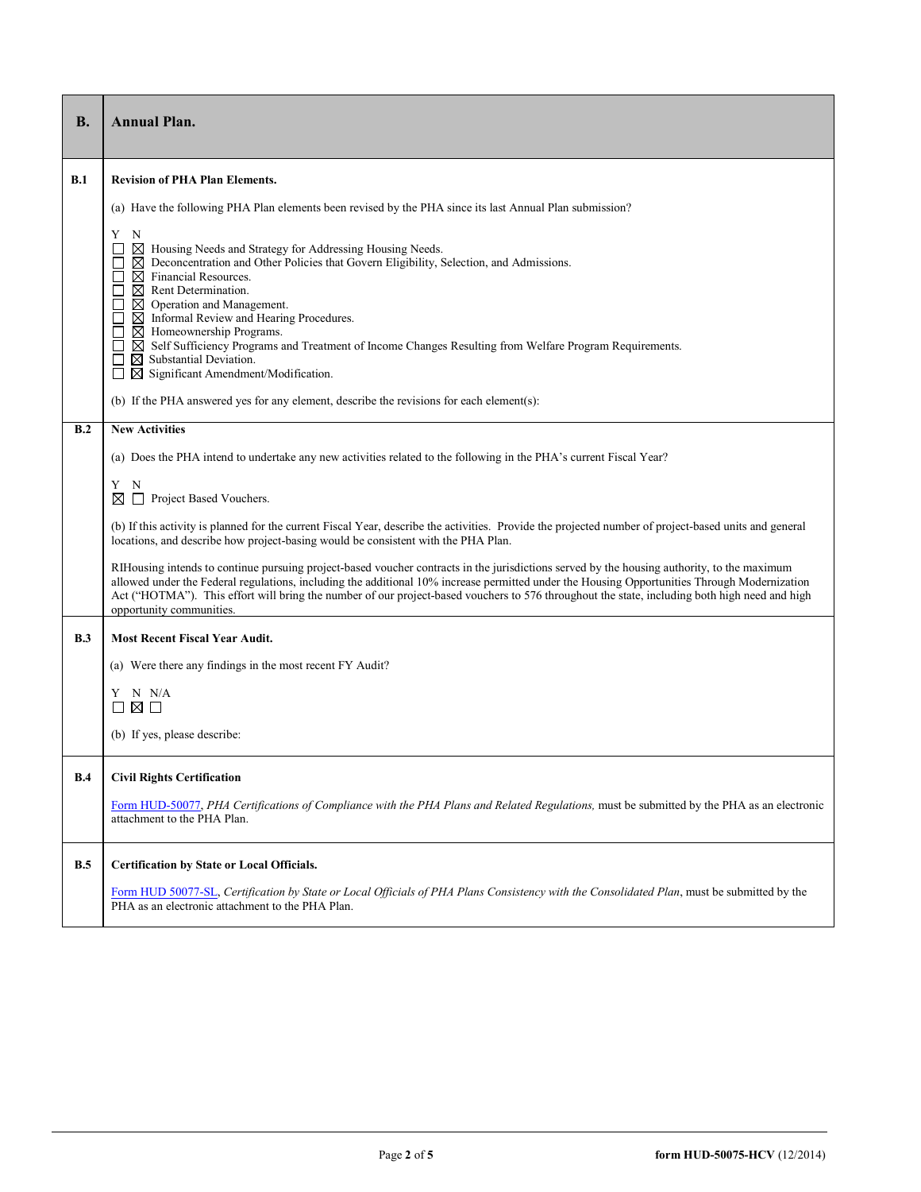| <b>B.</b> | <b>Annual Plan.</b>                                                                                                                                                                                                                                                                                                                                                                                                                                                                                                                                                                                                                                     |  |  |  |  |
|-----------|---------------------------------------------------------------------------------------------------------------------------------------------------------------------------------------------------------------------------------------------------------------------------------------------------------------------------------------------------------------------------------------------------------------------------------------------------------------------------------------------------------------------------------------------------------------------------------------------------------------------------------------------------------|--|--|--|--|
| B.1       | <b>Revision of PHA Plan Elements.</b>                                                                                                                                                                                                                                                                                                                                                                                                                                                                                                                                                                                                                   |  |  |  |  |
|           | (a) Have the following PHA Plan elements been revised by the PHA since its last Annual Plan submission?                                                                                                                                                                                                                                                                                                                                                                                                                                                                                                                                                 |  |  |  |  |
|           | Y<br>N<br>$\boxtimes$ Housing Needs and Strategy for Addressing Housing Needs.<br>$\boxtimes$ Deconcentration and Other Policies that Govern Eligibility, Selection, and Admissions.<br>$\boxtimes$ Financial Resources.<br>⊔<br>$\boxtimes$ Rent Determination.<br>$\boxtimes$ Operation and Management.<br>$\overline{\phantom{a}}$<br>$\boxtimes$ Informal Review and Hearing Procedures.<br>$\boxtimes$ Homeownership Programs.<br>⊠ Self Sufficiency Programs and Treatment of Income Changes Resulting from Welfare Program Requirements.<br>⊏<br>$\boxtimes$ Substantial Deviation.<br>$\boxtimes$ Significant Amendment/Modification.<br>$\Box$ |  |  |  |  |
|           | (b) If the PHA answered yes for any element, describe the revisions for each element(s):                                                                                                                                                                                                                                                                                                                                                                                                                                                                                                                                                                |  |  |  |  |
| B.2       | <b>New Activities</b>                                                                                                                                                                                                                                                                                                                                                                                                                                                                                                                                                                                                                                   |  |  |  |  |
|           | (a) Does the PHA intend to undertake any new activities related to the following in the PHA's current Fiscal Year?                                                                                                                                                                                                                                                                                                                                                                                                                                                                                                                                      |  |  |  |  |
|           | Y<br>N<br>Project Based Vouchers.<br>⊠                                                                                                                                                                                                                                                                                                                                                                                                                                                                                                                                                                                                                  |  |  |  |  |
|           | (b) If this activity is planned for the current Fiscal Year, describe the activities. Provide the projected number of project-based units and general<br>locations, and describe how project-basing would be consistent with the PHA Plan.                                                                                                                                                                                                                                                                                                                                                                                                              |  |  |  |  |
|           | RIHousing intends to continue pursuing project-based voucher contracts in the jurisdictions served by the housing authority, to the maximum<br>allowed under the Federal regulations, including the additional 10% increase permitted under the Housing Opportunities Through Modernization<br>Act ("HOTMA"). This effort will bring the number of our project-based vouchers to 576 throughout the state, including both high need and high<br>opportunity communities.                                                                                                                                                                                |  |  |  |  |
| B.3       | <b>Most Recent Fiscal Year Audit.</b>                                                                                                                                                                                                                                                                                                                                                                                                                                                                                                                                                                                                                   |  |  |  |  |
|           | (a) Were there any findings in the most recent FY Audit?                                                                                                                                                                                                                                                                                                                                                                                                                                                                                                                                                                                                |  |  |  |  |
|           | Y N N/A<br>⊠□                                                                                                                                                                                                                                                                                                                                                                                                                                                                                                                                                                                                                                           |  |  |  |  |
|           | (b) If yes, please describe:                                                                                                                                                                                                                                                                                                                                                                                                                                                                                                                                                                                                                            |  |  |  |  |
| B.4       | <b>Civil Rights Certification</b>                                                                                                                                                                                                                                                                                                                                                                                                                                                                                                                                                                                                                       |  |  |  |  |
|           | Form HUD-50077, PHA Certifications of Compliance with the PHA Plans and Related Regulations, must be submitted by the PHA as an electronic<br>attachment to the PHA Plan.                                                                                                                                                                                                                                                                                                                                                                                                                                                                               |  |  |  |  |
| B.5       | <b>Certification by State or Local Officials.</b>                                                                                                                                                                                                                                                                                                                                                                                                                                                                                                                                                                                                       |  |  |  |  |
|           | Form HUD 50077-SL, Certification by State or Local Officials of PHA Plans Consistency with the Consolidated Plan, must be submitted by the<br>PHA as an electronic attachment to the PHA Plan.                                                                                                                                                                                                                                                                                                                                                                                                                                                          |  |  |  |  |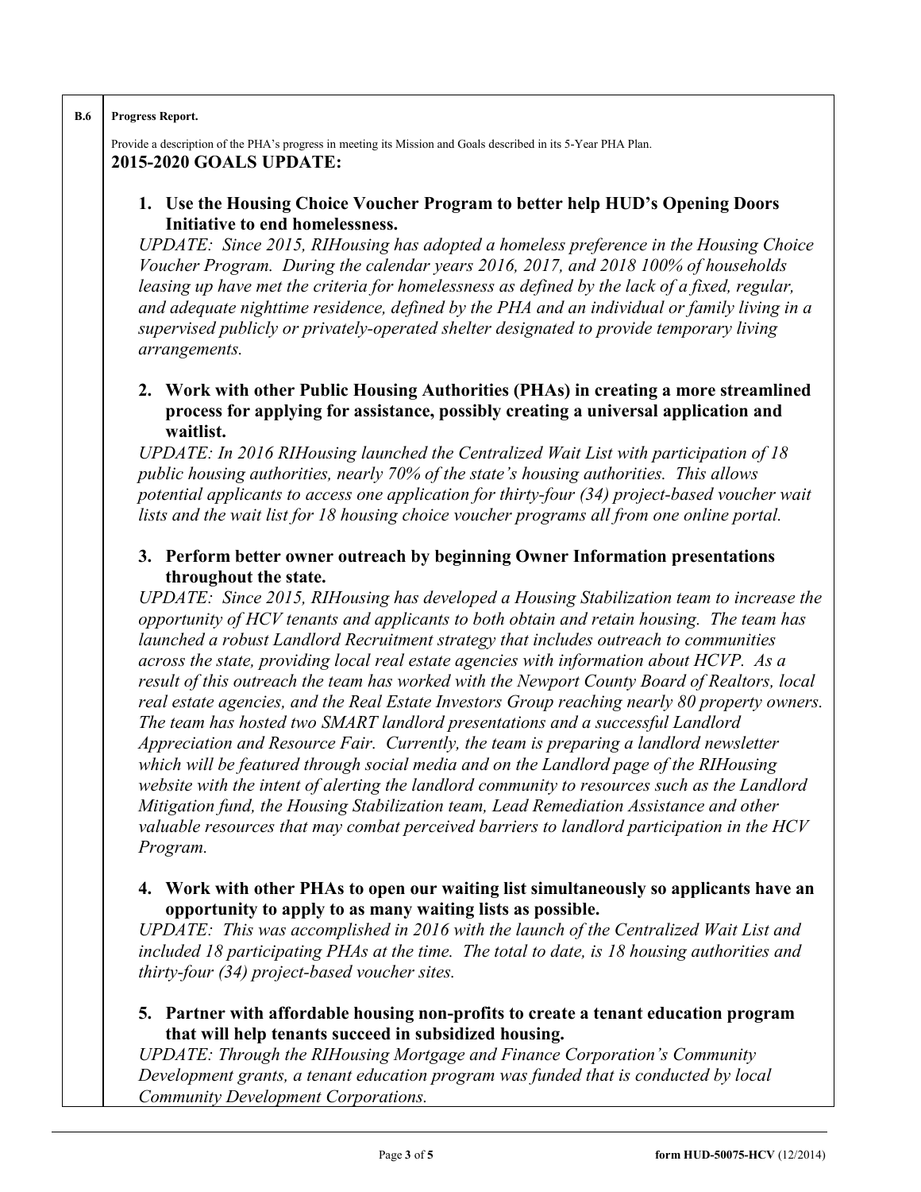#### **B.6 Progress Report.**

Provide a description of the PHA's progress in meeting its Mission and Goals described in its 5-Year PHA Plan. **2015-2020 GOALS UPDATE:**

### **1. Use the Housing Choice Voucher Program to better help HUD's Opening Doors Initiative to end homelessness.**

*UPDATE: Since 2015, RIHousing has adopted a homeless preference in the Housing Choice Voucher Program. During the calendar years 2016, 2017, and 2018 100% of households leasing up have met the criteria for homelessness as defined by the lack of a fixed, regular, and adequate nighttime residence, defined by the PHA and an individual or family living in a supervised publicly or privately-operated shelter designated to provide temporary living arrangements.* 

### **2. Work with other Public Housing Authorities (PHAs) in creating a more streamlined process for applying for assistance, possibly creating a universal application and waitlist.**

*UPDATE: In 2016 RIHousing launched the Centralized Wait List with participation of 18 public housing authorities, nearly 70% of the state's housing authorities. This allows potential applicants to access one application for thirty-four (34) project-based voucher wait lists and the wait list for 18 housing choice voucher programs all from one online portal.*

### **3. Perform better owner outreach by beginning Owner Information presentations throughout the state.**

*UPDATE: Since 2015, RIHousing has developed a Housing Stabilization team to increase the opportunity of HCV tenants and applicants to both obtain and retain housing. The team has launched a robust Landlord Recruitment strategy that includes outreach to communities across the state, providing local real estate agencies with information about HCVP. As a result of this outreach the team has worked with the Newport County Board of Realtors, local real estate agencies, and the Real Estate Investors Group reaching nearly 80 property owners. The team has hosted two SMART landlord presentations and a successful Landlord Appreciation and Resource Fair. Currently, the team is preparing a landlord newsletter which will be featured through social media and on the Landlord page of the RIHousing website with the intent of alerting the landlord community to resources such as the Landlord Mitigation fund, the Housing Stabilization team, Lead Remediation Assistance and other valuable resources that may combat perceived barriers to landlord participation in the HCV Program.*

## **4. Work with other PHAs to open our waiting list simultaneously so applicants have an opportunity to apply to as many waiting lists as possible.**

*UPDATE: This was accomplished in 2016 with the launch of the Centralized Wait List and included 18 participating PHAs at the time. The total to date, is 18 housing authorities and thirty-four (34) project-based voucher sites.*

## **5. Partner with affordable housing non-profits to create a tenant education program that will help tenants succeed in subsidized housing.**

*UPDATE: Through the RIHousing Mortgage and Finance Corporation's Community Development grants, a tenant education program was funded that is conducted by local Community Development Corporations.*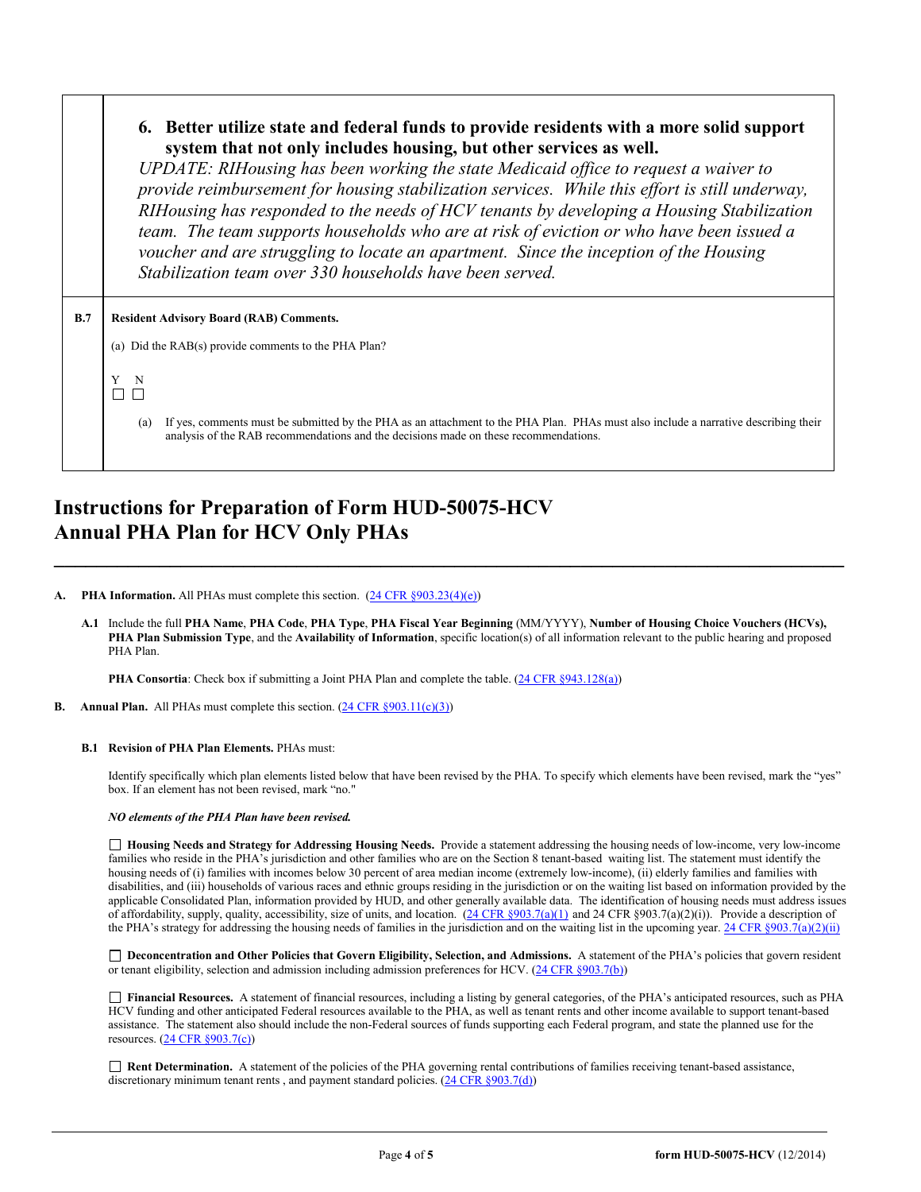#### **6. Better utilize state and federal funds to provide residents with a more solid support system that not only includes housing, but other services as well.**

*UPDATE: RIHousing has been working the state Medicaid office to request a waiver to provide reimbursement for housing stabilization services. While this effort is still underway, RIHousing has responded to the needs of HCV tenants by developing a Housing Stabilization team. The team supports households who are at risk of eviction or who have been issued a voucher and are struggling to locate an apartment. Since the inception of the Housing Stabilization team over 330 households have been served.* 

| B.7 | <b>Resident Advisory Board (RAB) Comments.</b>                                                                                                                                                                                     |  |  |  |  |
|-----|------------------------------------------------------------------------------------------------------------------------------------------------------------------------------------------------------------------------------------|--|--|--|--|
|     | (a) Did the RAB(s) provide comments to the PHA Plan?                                                                                                                                                                               |  |  |  |  |
|     | N                                                                                                                                                                                                                                  |  |  |  |  |
|     | If yes, comments must be submitted by the PHA as an attachment to the PHA Plan. PHAs must also include a narrative describing their<br>(a)<br>analysis of the RAB recommendations and the decisions made on these recommendations. |  |  |  |  |

# **Instructions for Preparation of Form HUD-50075-HCV Annual PHA Plan for HCV Only PHAs**

#### **PHA Information.** All PHAs must complete this section. [\(24 CFR §903.23\(4\)\(e\)\)](http://ecfr.gpoaccess.gov/cgi/t/text/text-idx?c=ecfr&sid=13734845220744370804c20da2294a03&rgn=div5&view=text&node=24:4.0.3.1.3&idno=24#24:4.0.3.1.3.2.5.14)

**A.1** Include the full **PHA Name**, **PHA Code**, **PHA Type**, **PHA Fiscal Year Beginning** (MM/YYYY), **Number of Housing Choice Vouchers (HCVs), PHA Plan Submission Type**, and the **Availability of Information**, specific location(s) of all information relevant to the public hearing and proposed PHA Plan.

**\_\_\_\_\_\_\_\_\_\_\_\_\_\_\_\_\_\_\_\_\_\_\_\_\_\_\_\_\_\_\_\_\_\_\_\_\_\_\_\_\_\_\_\_\_\_\_\_\_\_\_\_\_\_\_\_\_\_\_\_\_\_\_\_\_\_\_\_\_\_\_\_\_\_\_**

**PHA Consortia**: Check box if submitting a Joint PHA Plan and complete the table. [\(24 CFR §943.128\(a\)\)](http://ecfr.gpoaccess.gov/cgi/t/text/text-idx?c=ecfr&sid=cc31cf1c3a2b84ba4ead75d35d258f67&rgn=div5&view=text&node=24:4.0.3.1.10&idno=24#24:4.0.3.1.10.2.5.7)

**B.** Annual Plan. All PHAs must complete this section. [\(24 CFR §903.11\(c\)\(3\)\)](http://ecfr.gpoaccess.gov/cgi/t/text/text-idx?c=ecfr&sid=c84b8750d7c9fcd46c0c7546aeb860cf&rgn=div5&view=text&node=24:4.0.3.1.3&idno=24#24:4.0.3.1.3.2.5.8)

#### **B.1 Revision of PHA Plan Elements.** PHAs must:

Identify specifically which plan elements listed below that have been revised by the PHA. To specify which elements have been revised, mark the "yes" box. If an element has not been revised, mark "no."

#### *NO elements of the PHA Plan have been revised.*

 **Housing Needs and Strategy for Addressing Housing Needs.** Provide a statement addressing the housing needs of low-income, very low-income families who reside in the PHA's jurisdiction and other families who are on the Section 8 tenant-based waiting list. The statement must identify the housing needs of (i) families with incomes below 30 percent of area median income (extremely low-income), (ii) elderly families and families with disabilities, and (iii) households of various races and ethnic groups residing in the jurisdiction or on the waiting list based on information provided by the applicable Consolidated Plan, information provided by HUD, and other generally available data. The identification of housing needs must address issues of affordability, supply, quality, accessibility, size of units, and location.  $(24 \text{ CFR } \text{$903.7(a)(1)}$  and 24 CFR  $\text{$903.7(a)(2)(i))}$ . Provide a description of the PHA's strategy for addressing the housing needs of families in the jurisdiction and on the waiting list in the upcoming year.  $24 \text{ CFR } \text{$903.7(a)(2)(ii)}$ 

□ Deconcentration and Other Policies that Govern Eligibility, Selection, and Admissions. A statement of the PHA's policies that govern resident or tenant eligibility, selection and admission including admission preferences for HCV. [\(24 CFR §903.7\(b\)\)](http://ecfr.gpoaccess.gov/cgi/t/text/text-idx?c=ecfr&sid=b44bf19bef93dd31287608d2c687e271&rgn=div5&view=text&node=24:4.0.3.1.3&idno=24#24:4.0.3.1.3.2.5.5)

 **Financial Resources.** A statement of financial resources, including a listing by general categories, of the PHA's anticipated resources, such as PHA HCV funding and other anticipated Federal resources available to the PHA, as well as tenant rents and other income available to support tenant-based assistance. The statement also should include the non-Federal sources of funds supporting each Federal program, and state the planned use for the resources. [\(24 CFR §903.7\(c\)\)](http://ecfr.gpoaccess.gov/cgi/t/text/text-idx?c=ecfr&sid=b44bf19bef93dd31287608d2c687e271&rgn=div5&view=text&node=24:4.0.3.1.3&idno=24)

■ **Rent Determination.** A statement of the policies of the PHA governing rental contributions of families receiving tenant-based assistance, discretionary minimum tenant rents, and payment standard policies. [\(24 CFR §903.7\(d\)\)](http://ecfr.gpoaccess.gov/cgi/t/text/text-idx?c=ecfr&sid=b44bf19bef93dd31287608d2c687e271&rgn=div5&view=text&node=24:4.0.3.1.3&idno=24#24:4.0.3.1.3.2.5.5)